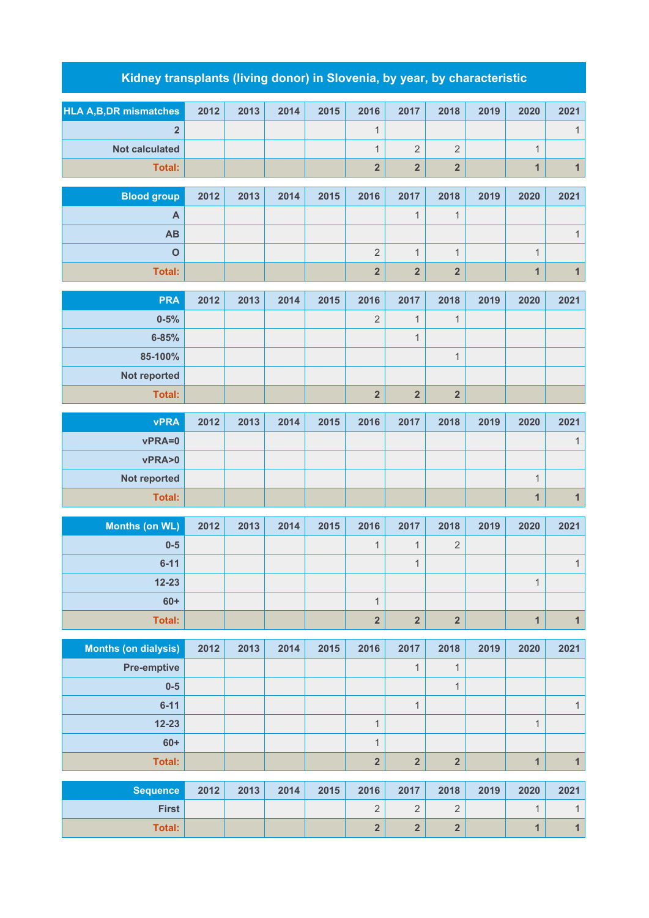## **Kidney transplants (living donor) in Slovenia, by year, by characteristic**

| <b>HLA A,B,DR mismatches</b> | 2012 | 2013 | 2014 | 2015 | 2016                    | 2017                    | 2018                    | 2019 | 2020           | 2021         |
|------------------------------|------|------|------|------|-------------------------|-------------------------|-------------------------|------|----------------|--------------|
| $\overline{2}$               |      |      |      |      | 1                       |                         |                         |      |                | $\mathbf{1}$ |
| <b>Not calculated</b>        |      |      |      |      | $\mathbf{1}$            | $\overline{2}$          | $\overline{2}$          |      | $\mathbf{1}$   |              |
| <b>Total:</b>                |      |      |      |      | $\overline{2}$          | $\overline{2}$          | $\overline{\mathbf{2}}$ |      | $\mathbf{1}$   | $\mathbf{1}$ |
| <b>Blood group</b>           | 2012 | 2013 | 2014 | 2015 | 2016                    | 2017                    | 2018                    | 2019 | 2020           | 2021         |
| A                            |      |      |      |      |                         | $\mathbf{1}$            | $\mathbf{1}$            |      |                |              |
| AB                           |      |      |      |      |                         |                         |                         |      |                | $\mathbf{1}$ |
| $\mathbf{o}$                 |      |      |      |      | $\sqrt{2}$              | $\mathbf{1}$            | $\mathbf{1}$            |      | $\mathbf{1}$   |              |
| Total:                       |      |      |      |      | $\overline{2}$          | $\overline{\mathbf{2}}$ | $\overline{\mathbf{2}}$ |      | $\mathbf{1}$   | $\mathbf{1}$ |
| <b>PRA</b>                   | 2012 | 2013 | 2014 | 2015 | 2016                    | 2017                    | 2018                    | 2019 | 2020           | 2021         |
| $0 - 5%$                     |      |      |      |      | $\overline{2}$          | $\mathbf{1}$            | $\mathbf{1}$            |      |                |              |
| $6 - 85%$                    |      |      |      |      |                         | $\mathbf{1}$            |                         |      |                |              |
| 85-100%                      |      |      |      |      |                         |                         | $\mathbf{1}$            |      |                |              |
| Not reported                 |      |      |      |      |                         |                         |                         |      |                |              |
| Total:                       |      |      |      |      | $\overline{\mathbf{2}}$ | $\overline{\mathbf{2}}$ | $\overline{\mathbf{2}}$ |      |                |              |
|                              | 2012 | 2013 | 2014 | 2015 | 2016                    |                         | 2018                    | 2019 | 2020           | 2021         |
| <b>vPRA</b><br>vPRA=0        |      |      |      |      |                         | 2017                    |                         |      |                | $\mathbf{1}$ |
| vPRA>0                       |      |      |      |      |                         |                         |                         |      |                |              |
| Not reported                 |      |      |      |      |                         |                         |                         |      | $\mathbf{1}$   |              |
| <b>Total:</b>                |      |      |      |      |                         |                         |                         |      | $\mathbf{1}$   | $\mathbf{1}$ |
|                              |      |      |      |      |                         |                         |                         |      |                |              |
| <b>Months (on WL)</b>        | 2012 | 2013 | 2014 | 2015 | 2016                    | 2017                    | 2018                    | 2019 | 2020           | 2021         |
| $0-5$                        |      |      |      |      | 1                       | $\mathbf{1}$            | $\sqrt{2}$              |      |                |              |
| $6 - 11$                     |      |      |      |      |                         | $\mathbf{1}$            |                         |      |                | $\mathbf{1}$ |
| $12 - 23$<br>$60+$           |      |      |      |      | $\mathbf{1}$            |                         |                         |      | $\mathbf{1}$   |              |
| Total:                       |      |      |      |      | $\overline{\mathbf{2}}$ | $\overline{2}$          | $\overline{2}$          |      | $\overline{1}$ | $\mathbf{1}$ |
|                              |      |      |      |      |                         |                         |                         |      |                |              |
| <b>Months (on dialysis)</b>  | 2012 | 2013 | 2014 | 2015 | 2016                    | 2017                    | 2018                    | 2019 | 2020           | 2021         |
| <b>Pre-emptive</b>           |      |      |      |      |                         | $\mathbf{1}$            | $\mathbf{1}$            |      |                |              |
| $0-5$                        |      |      |      |      |                         |                         | $\mathbf{1}$            |      |                |              |
| $6 - 11$                     |      |      |      |      |                         | $\mathbf{1}$            |                         |      |                | $\mathbf{1}$ |
| $12 - 23$                    |      |      |      |      | $\mathbf{1}$            |                         |                         |      | $\mathbf{1}$   |              |
| $60+$                        |      |      |      |      | $\mathbf{1}$            |                         |                         |      |                |              |
| <b>Total:</b>                |      |      |      |      | $\overline{\mathbf{2}}$ | $\overline{\mathbf{2}}$ | $\overline{\mathbf{2}}$ |      | $\mathbf{1}$   | $\mathbf{1}$ |
| <b>Sequence</b>              | 2012 | 2013 | 2014 | 2015 | 2016                    | 2017                    | 2018                    | 2019 | 2020           | 2021         |
| <b>First</b>                 |      |      |      |      | $\sqrt{2}$              | $\overline{2}$          | $\overline{2}$          |      | $\mathbf{1}$   | $\mathbf{1}$ |
| <b>Total:</b>                |      |      |      |      | $\overline{\mathbf{2}}$ | $\overline{\mathbf{2}}$ | $\overline{\mathbf{2}}$ |      | $\mathbf{1}$   | $\mathbf{1}$ |